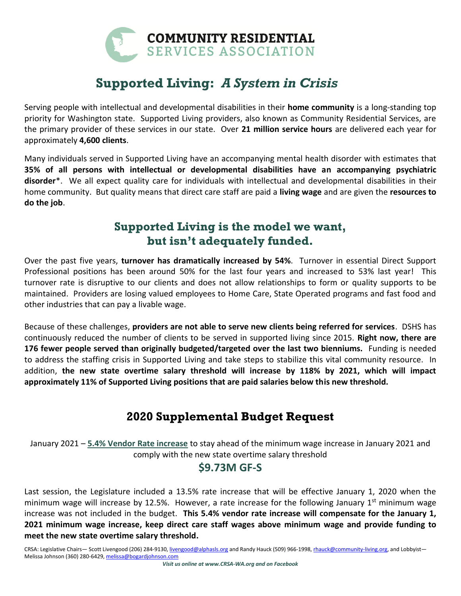

# **Supported Living:** *A System in Crisis*

Serving people with intellectual and developmental disabilities in their **home community** is a long-standing top priority for Washington state. Supported Living providers, also known as Community Residential Services, are the primary provider of these services in our state. Over **21 million service hours** are delivered each year for approximately **4,600 clients**.

Many individuals served in Supported Living have an accompanying mental health disorder with estimates that **35% of all persons with intellectual or developmental disabilities have an accompanying psychiatric disorder**\*. We all expect quality care for individuals with intellectual and developmental disabilities in their home community. But quality means that direct care staff are paid a **living wage** and are given the **resources to do the job**.

## **Supported Living is the model we want, but isn't adequately funded.**

Over the past five years, **turnover has dramatically increased by 54%**. Turnover in essential Direct Support Professional positions has been around 50% for the last four years and increased to 53% last year! This turnover rate is disruptive to our clients and does not allow relationships to form or quality supports to be maintained. Providers are losing valued employees to Home Care, State Operated programs and fast food and other industries that can pay a livable wage.

Because of these challenges, **providers are not able to serve new clients being referred for services**. DSHS has continuously reduced the number of clients to be served in supported living since 2015. **Right now, there are 176 fewer people served than originally budgeted/targeted over the last two bienniums.** Funding is needed to address the staffing crisis in Supported Living and take steps to stabilize this vital community resource. In addition, **the new state overtime salary threshold will increase by 118% by 2021, which will impact approximately 11% of Supported Living positions that are paid salaries below this new threshold.**

## **2020 Supplemental Budget Request**

January 2021 – **5.4% Vendor Rate increase** to stay ahead of the minimum wage increase in January 2021 and comply with the new state overtime salary threshold

### **\$9.73M GF-S**

Last session, the Legislature included a 13.5% rate increase that will be effective January 1, 2020 when the minimum wage will increase by 12.5%. However, a rate increase for the following January  $1<sup>st</sup>$  minimum wage increase was not included in the budget. **This 5.4% vendor rate increase will compensate for the January 1, 2021 minimum wage increase, keep direct care staff wages above minimum wage and provide funding to meet the new state overtime salary threshold.**

CRSA: Legislative Chairs— Scott Livengood (206) 284-9130[, livengood@alphasls.org](mailto:livengood@alphasls.org) and Randy Hauck (509) 966-1998[, rhauck@community-living.org,](mailto:rhauck@community-living.org) and Lobbyist-Melissa Johnson (360) 280-6429[, melissa@bogardjohnson.com](mailto:melissa@bogardjohnson.com)